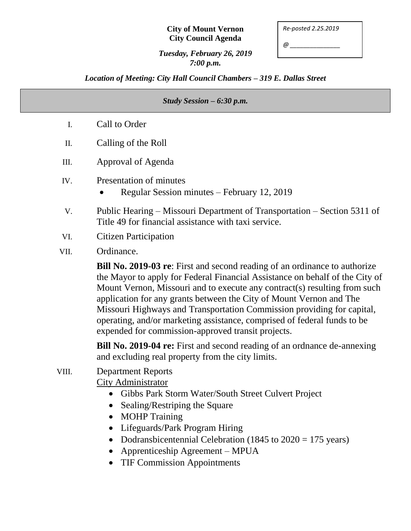#### **City of Mount Vernon City Council Agenda**

*Re-posted 2.25.2019*

*@ \_\_\_\_\_\_\_\_\_\_\_\_\_\_\_*

### *Tuesday, February 26, 2019 7:00 p.m.*

*Location of Meeting: City Hall Council Chambers – 319 E. Dallas Street*

# *Study Session – 6:30 p.m.* I. Call to Order II. Calling of the Roll III. Approval of Agenda IV. Presentation of minutes Regular Session minutes – February 12, 2019 V. Public Hearing – Missouri Department of Transportation – Section 5311 of Title 49 for financial assistance with taxi service. VI. Citizen Participation VII. Ordinance. **Bill No. 2019-03 re**: First and second reading of an ordinance to authorize the Mayor to apply for Federal Financial Assistance on behalf of the City of Mount Vernon, Missouri and to execute any contract(s) resulting from such application for any grants between the City of Mount Vernon and The Missouri Highways and Transportation Commission providing for capital, operating, and/or marketing assistance, comprised of federal funds to be expended for commission-approved transit projects.

**Bill No. 2019-04 re:** First and second reading of an ordnance de-annexing and excluding real property from the city limits.

- VIII. Department Reports City Administrator
	- Gibbs Park Storm Water/South Street Culvert Project
	- Sealing/Restriping the Square
	- MOHP Training
	- Lifeguards/Park Program Hiring
	- Dodransbicentennial Celebration (1845 to  $2020 = 175$  years)
	- Apprenticeship Agreement MPUA
	- TIF Commission Appointments